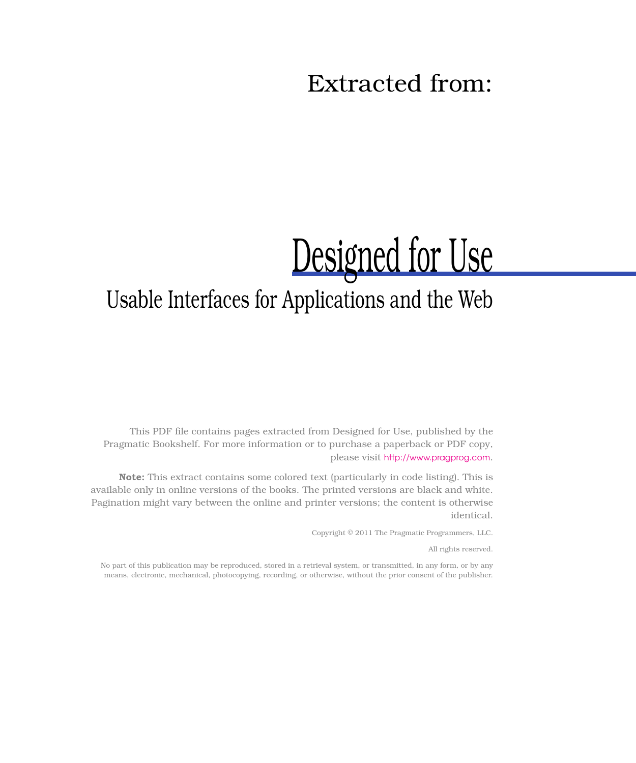### Extracted from:

# Designed for Use

### Usable Interfaces for Applications and the Web

This PDF file contains pages extracted from Designed for Use, published by the Pragmatic Bookshelf. For more information or to purchase a paperback or PDF copy, please visit <http://www.pragprog.com>.

**Note:** This extract contains some colored text (particularly in code listing). This is available only in online versions of the books. The printed versions are black and white. Pagination might vary between the online and printer versions; the content is otherwise identical.

Copyright © 2011 The Pragmatic Programmers, LLC.

All rights reserved.

No part of this publication may be reproduced, stored in a retrieval system, or transmitted, in any form, or by any means, electronic, mechanical, photocopying, recording, or otherwise, without the prior consent of the publisher.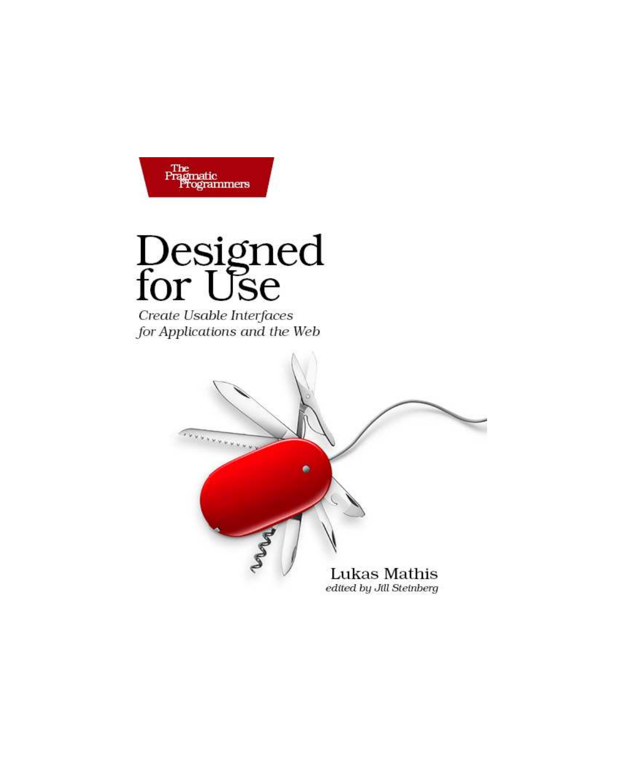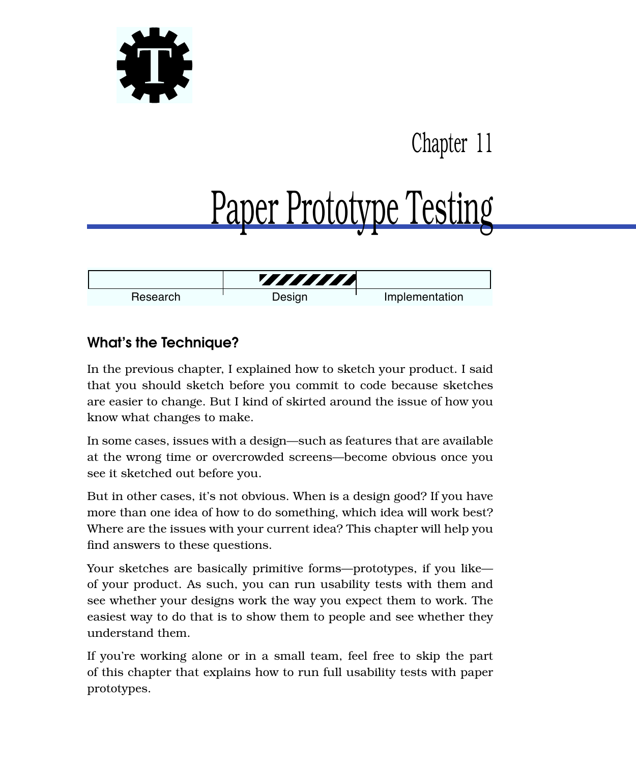

### Chapter 11

Paper Prototype Testing

|          | WWW    |                |
|----------|--------|----------------|
| Research | Design | Implementation |

#### What's the Technique?

In the previous chapter, I explained how to sketch your product. I said that you should sketch before you commit to code because sketches are easier to change. But I kind of skirted around the issue of how you know what changes to make.

In some cases, issues with a design—such as features that are available at the wrong time or overcrowded screens—become obvious once you see it sketched out before you.

But in other cases, it's not obvious. When is a design good? If you have more than one idea of how to do something, which idea will work best? Where are the issues with your current idea? This chapter will help you find answers to these questions.

Your sketches are basically primitive forms—prototypes, if you like of your product. As such, you can run usability tests with them and see whether your designs work the way you expect them to work. The easiest way to do that is to show them to people and see whether they understand them.

If you're working alone or in a small team, feel free to skip the part of this chapter that explains how to run full usability tests with paper prototypes.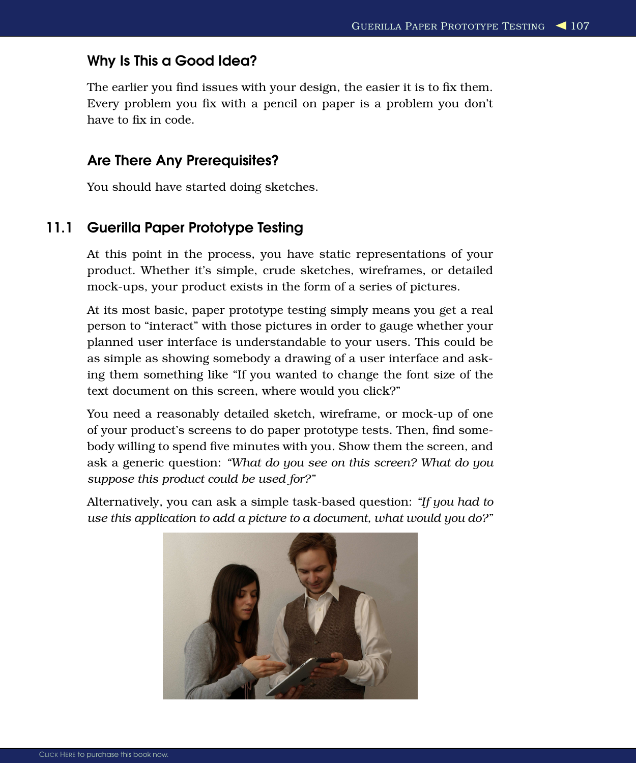#### Why Is This a Good Idea?

The earlier you find issues with your design, the easier it is to fix them. Every problem you fix with a pencil on paper is a problem you don't have to fix in code.

#### Are There Any Prerequisites?

You should have started doing sketches.

#### 11.1 Guerilla Paper Prototype Testing

At this point in the process, you have static representations of your product. Whether it's simple, crude sketches, wireframes, or detailed mock-ups, your product exists in the form of a series of pictures.

At its most basic, paper prototype testing simply means you get a real person to "interact" with those pictures in order to gauge whether your planned user interface is understandable to your users. This could be as simple as showing somebody a drawing of a user interface and asking them something like "If you wanted to change the font size of the text document on this screen, where would you click?"

You need a reasonably detailed sketch, wireframe, or mock-up of one of your product's screens to do paper prototype tests. Then, find somebody willing to spend five minutes with you. Show them the screen, and ask a generic question: *"What do you see on this screen? What do you suppose this product could be used for?"*

Alternatively, you can ask a simple task-based question: *"If you had to use this application to add a picture to a document, what would you do?"*

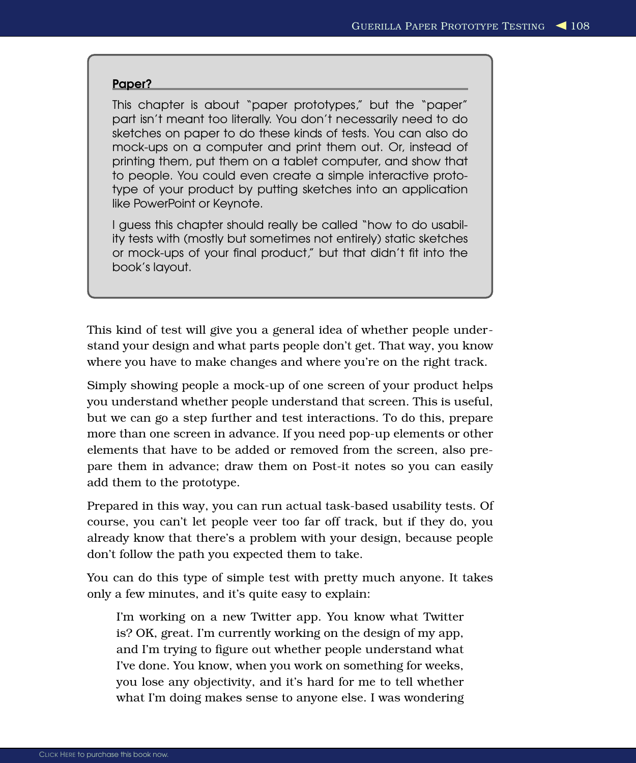#### Paper?

This chapter is about "paper prototypes," but the "paper" part isn't meant too literally. You don't necessarily need to do sketches on paper to do these kinds of tests. You can also do mock-ups on a computer and print them out. Or, instead of printing them, put them on a tablet computer, and show that to people. You could even create a simple interactive prototype of your product by putting sketches into an application like PowerPoint or Keynote.

I guess this chapter should really be called "how to do usability tests with (mostly but sometimes not entirely) static sketches or mock-ups of your final product," but that didn't fit into the book's layout.

This kind of test will give you a general idea of whether people understand your design and what parts people don't get. That way, you know where you have to make changes and where you're on the right track.

Simply showing people a mock-up of one screen of your product helps you understand whether people understand that screen. This is useful, but we can go a step further and test interactions. To do this, prepare more than one screen in advance. If you need pop-up elements or other elements that have to be added or removed from the screen, also prepare them in advance; draw them on Post-it notes so you can easily add them to the prototype.

Prepared in this way, you can run actual task-based usability tests. Of course, you can't let people veer too far off track, but if they do, you already know that there's a problem with your design, because people don't follow the path you expected them to take.

You can do this type of simple test with pretty much anyone. It takes only a few minutes, and it's quite easy to explain:

I'm working on a new Twitter app. You know what Twitter is? OK, great. I'm currently working on the design of my app, and I'm trying to figure out whether people understand what I've done. You know, when you work on something for weeks, you lose any objectivity, and it's hard for me to tell whether what I'm doing makes sense to anyone else. I was wondering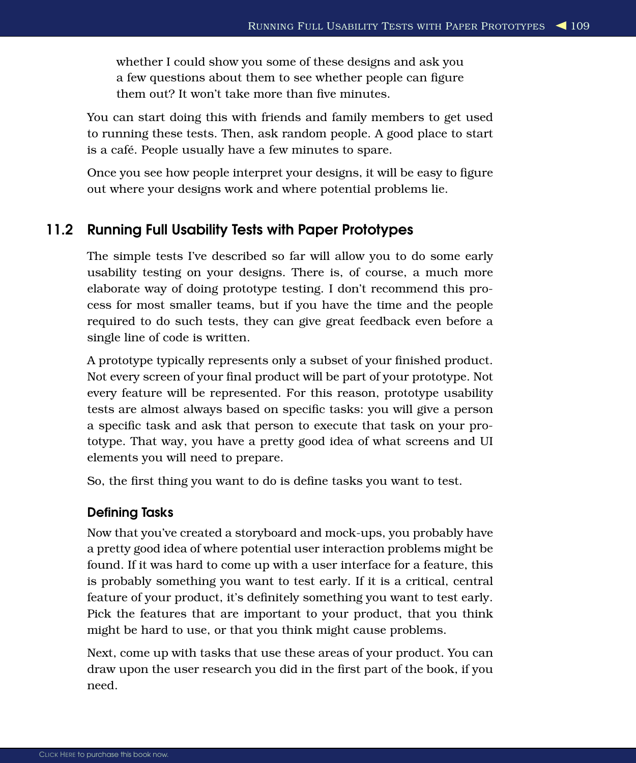whether I could show you some of these designs and ask you a few questions about them to see whether people can figure them out? It won't take more than five minutes.

You can start doing this with friends and family members to get used to running these tests. Then, ask random people. A good place to start is a café. People usually have a few minutes to spare.

Once you see how people interpret your designs, it will be easy to figure out where your designs work and where potential problems lie.

#### 11.2 Running Full Usability Tests with Paper Prototypes

The simple tests I've described so far will allow you to do some early usability testing on your designs. There is, of course, a much more elaborate way of doing prototype testing. I don't recommend this process for most smaller teams, but if you have the time and the people required to do such tests, they can give great feedback even before a single line of code is written.

A prototype typically represents only a subset of your finished product. Not every screen of your final product will be part of your prototype. Not every feature will be represented. For this reason, prototype usability tests are almost always based on specific tasks: you will give a person a specific task and ask that person to execute that task on your prototype. That way, you have a pretty good idea of what screens and UI elements you will need to prepare.

So, the first thing you want to do is define tasks you want to test.

#### Defining Tasks

Now that you've created a storyboard and mock-ups, you probably have a pretty good idea of where potential user interaction problems might be found. If it was hard to come up with a user interface for a feature, this is probably something you want to test early. If it is a critical, central feature of your product, it's definitely something you want to test early. Pick the features that are important to your product, that you think might be hard to use, or that you think might cause problems.

Next, come up with tasks that use these areas of your product. You can draw upon the user research you did in the first part of the book, if you need.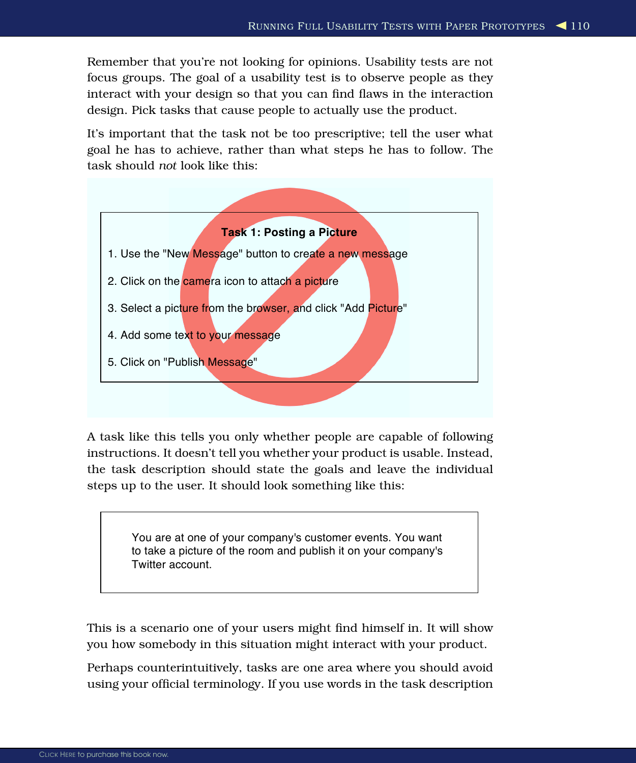Remember that you're not looking for opinions. Usability tests are not focus groups. The goal of a usability test is to observe people as they interact with your design so that you can find flaws in the interaction design. Pick tasks that cause people to actually use the product.

It's important that the task not be too prescriptive; tell the user what goal he has to achieve, rather than what steps he has to follow. The task should *not* look like this:



A task like this tells you only whether people are capable of following instructions. It doesn't tell you whether your product is usable. Instead, the task description should state the goals and leave the individual steps up to the user. It should look something like this:

> You are at one of your company's customer events. You want to take a picture of the room and publish it on your company's Twitter account.

This is a scenario one of your users might find himself in. It will show you how somebody in this situation might interact with your product.

Perhaps counterintuitively, tasks are one area where you should avoid using your official terminology. If you use words in the task description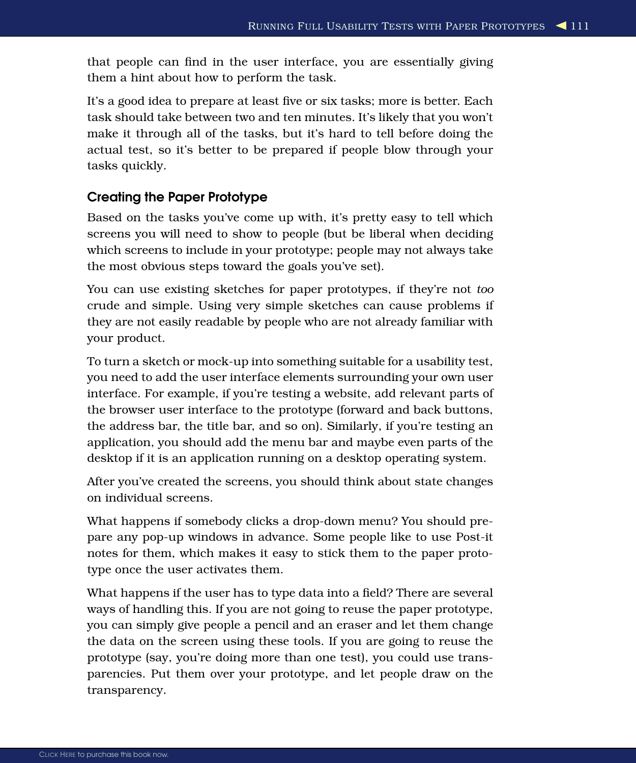that people can find in the user interface, you are essentially giving them a hint about how to perform the task.

It's a good idea to prepare at least five or six tasks; more is better. Each task should take between two and ten minutes. It's likely that you won't make it through all of the tasks, but it's hard to tell before doing the actual test, so it's better to be prepared if people blow through your tasks quickly.

#### Creating the Paper Prototype

Based on the tasks you've come up with, it's pretty easy to tell which screens you will need to show to people (but be liberal when deciding which screens to include in your prototype; people may not always take the most obvious steps toward the goals you've set).

You can use existing sketches for paper prototypes, if they're not *too* crude and simple. Using very simple sketches can cause problems if they are not easily readable by people who are not already familiar with your product.

To turn a sketch or mock-up into something suitable for a usability test, you need to add the user interface elements surrounding your own user interface. For example, if you're testing a website, add relevant parts of the browser user interface to the prototype (forward and back buttons, the address bar, the title bar, and so on). Similarly, if you're testing an application, you should add the menu bar and maybe even parts of the desktop if it is an application running on a desktop operating system.

After you've created the screens, you should think about state changes on individual screens.

What happens if somebody clicks a drop-down menu? You should prepare any pop-up windows in advance. Some people like to use Post-it notes for them, which makes it easy to stick them to the paper prototype once the user activates them.

What happens if the user has to type data into a field? There are several ways of handling this. If you are not going to reuse the paper prototype, you can simply give people a pencil and an eraser and let them change the data on the screen using these tools. If you are going to reuse the prototype (say, you're doing more than one test), you could use transparencies. Put them over your prototype, and let people draw on the transparency.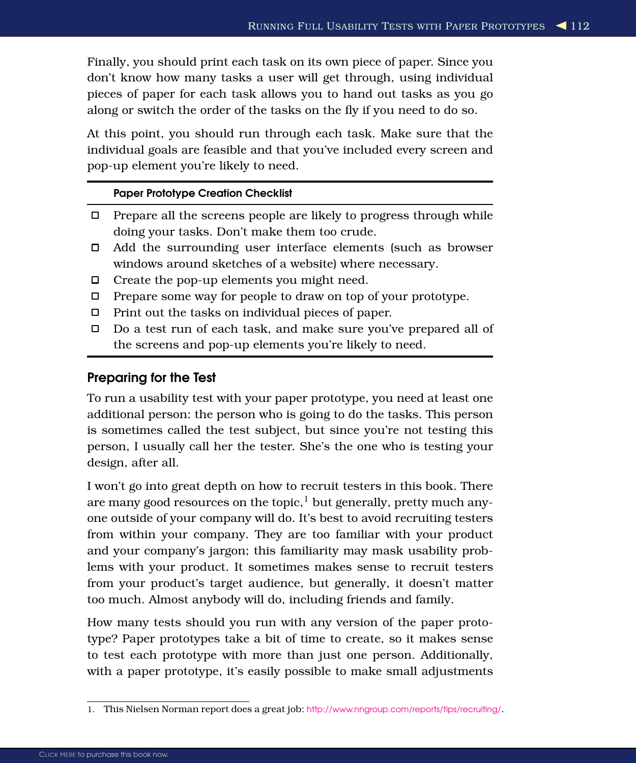Finally, you should print each task on its own piece of paper. Since you don't know how many tasks a user will get through, using individual pieces of paper for each task allows you to hand out tasks as you go along or switch the order of the tasks on the fly if you need to do so.

At this point, you should run through each task. Make sure that the individual goals are feasible and that you've included every screen and pop-up element you're likely to need.

#### Paper Prototype Creation Checklist

- $\Box$  Prepare all the screens people are likely to progress through while doing your tasks. Don't make them too crude.
- Add the surrounding user interface elements (such as browser windows around sketches of a website) where necessary.
- $\Box$  Create the pop-up elements you might need.
- Prepare some way for people to draw on top of your prototype.
- $\Box$  Print out the tasks on individual pieces of paper.
- Do a test run of each task, and make sure you've prepared all of the screens and pop-up elements you're likely to need.

#### Preparing for the Test

To run a usability test with your paper prototype, you need at least one additional person: the person who is going to do the tasks. This person is sometimes called the test subject, but since you're not testing this person, I usually call her the tester. She's the one who is testing your design, after all.

I won't go into great depth on how to recruit testers in this book. There are many good resources on the topic, $<sup>1</sup>$  but generally, pretty much any-</sup> one outside of your company will do. It's best to avoid recruiting testers from within your company. They are too familiar with your product and your company's jargon; this familiarity may mask usability problems with your product. It sometimes makes sense to recruit testers from your product's target audience, but generally, it doesn't matter too much. Almost anybody will do, including friends and family.

How many tests should you run with any version of the paper prototype? Paper prototypes take a bit of time to create, so it makes sense to test each prototype with more than just one person. Additionally, with a paper prototype, it's easily possible to make small adjustments

<sup>1.</sup> This Nielsen Norman report does a great job: <http://www.nngroup.com/reports/tips/recruiting/>.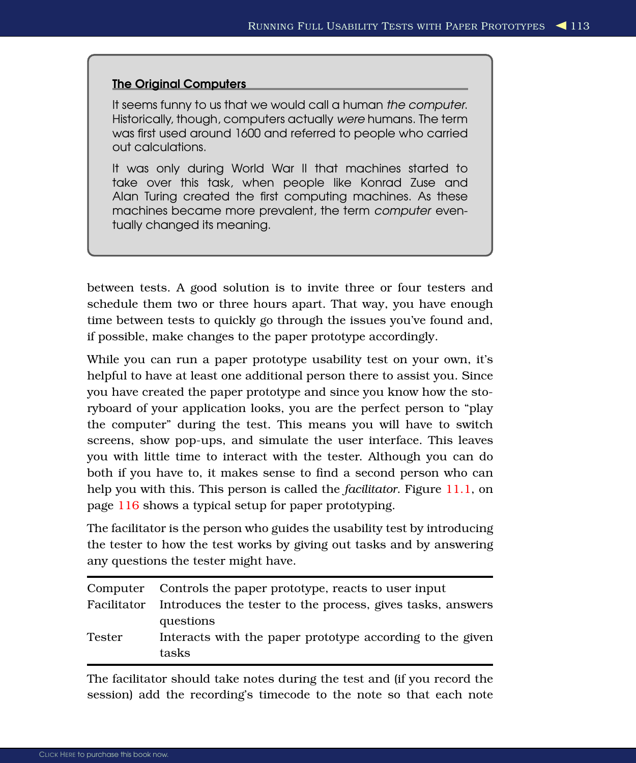#### The Original Computers

It seems funny to us that we would call a human the computer. Historically, though, computers actually were humans. The term was first used around 1600 and referred to people who carried out calculations.

It was only during World War II that machines started to take over this task, when people like Konrad Zuse and Alan Turing created the first computing machines. As these machines became more prevalent, the term computer eventually changed its meaning.

between tests. A good solution is to invite three or four testers and schedule them two or three hours apart. That way, you have enough time between tests to quickly go through the issues you've found and, if possible, make changes to the paper prototype accordingly.

While you can run a paper prototype usability test on your own, it's helpful to have at least one additional person there to assist you. Since you have created the paper prototype and since you know how the storyboard of your application looks, you are the perfect person to "play the computer" during the test. This means you will have to switch screens, show pop-ups, and simulate the user interface. This leaves you with little time to interact with the tester. Although you can do both if you have to, it makes sense to find a second person who can help you with this. This person is called the *facilitator*. Figure 11.1, on page 116 shows a typical setup for paper prototyping.

The facilitator is the person who guides the usability test by introducing the tester to how the test works by giving out tasks and by answering any questions the tester might have.

|        | Computer Controls the paper prototype, reacts to user input            |
|--------|------------------------------------------------------------------------|
|        | Facilitator Introduces the tester to the process, gives tasks, answers |
|        | questions                                                              |
| Tester | Interacts with the paper prototype according to the given<br>tasks     |

The facilitator should take notes during the test and (if you record the session) add the recording's timecode to the note so that each note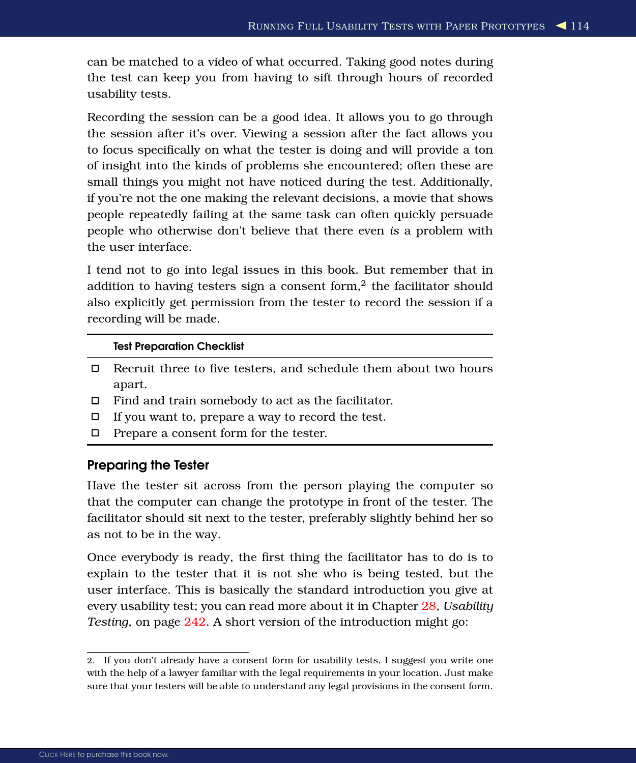can be matched to a video of what occurred. Taking good notes during the test can keep you from having to sift through hours of recorded usability tests.

Recording the session can be a good idea. It allows you to go through the session after it's over. Viewing a session after the fact allows you to focus specifically on what the tester is doing and will provide a ton of insight into the kinds of problems she encountered; often these are small things you might not have noticed during the test. Additionally, if you're not the one making the relevant decisions, a movie that shows people repeatedly failing at the same task can often quickly persuade people who otherwise don't believe that there even *is* a problem with the user interface.

I tend not to go into legal issues in this book. But remember that in addition to having testers sign a consent form, $^2$  the facilitator should also explicitly get permission from the tester to record the session if a recording will be made.

#### Test Preparation Checklist

- Recruit three to five testers, and schedule them about two hours apart.
- $\Box$  Find and train somebody to act as the facilitator.
- If you want to, prepare a way to record the test.
- □ Prepare a consent form for the tester.

#### Preparing the Tester

Have the tester sit across from the person playing the computer so that the computer can change the prototype in front of the tester. The facilitator should sit next to the tester, preferably slightly behind her so as not to be in the way.

Once everybody is ready, the first thing the facilitator has to do is to explain to the tester that it is not she who is being tested, but the user interface. This is basically the standard introduction you give at every usability test; you can read more about it in Chapter 28, *Usability Testing*, on page 242. A short version of the introduction might go:

<sup>2.</sup> If you don't already have a consent form for usability tests, I suggest you write one with the help of a lawyer familiar with the legal requirements in your location. Just make sure that your testers will be able to understand any legal provisions in the consent form.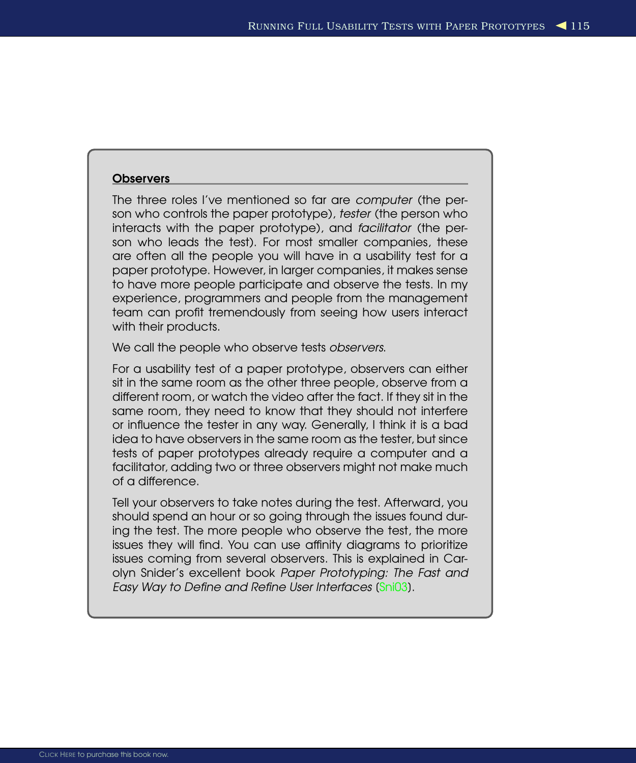#### **Observers**

The three roles I've mentioned so far are computer (the person who controls the paper prototype), tester (the person who interacts with the paper prototype), and facilitator (the person who leads the test). For most smaller companies, these are often all the people you will have in a usability test for a paper prototype. However, in larger companies, it makes sense to have more people participate and observe the tests. In my experience, programmers and people from the management team can profit tremendously from seeing how users interact with their products.

We call the people who observe tests observers.

For a usability test of a paper prototype, observers can either sit in the same room as the other three people, observe from a different room, or watch the video after the fact. If they sit in the same room, they need to know that they should not interfere or influence the tester in any way. Generally, I think it is a bad idea to have observers in the same room as the tester, but since tests of paper prototypes already require a computer and a facilitator, adding two or three observers might not make much of a difference.

Tell your observers to take notes during the test. Afterward, you should spend an hour or so going through the issues found during the test. The more people who observe the test, the more issues they will find. You can use affinity diagrams to prioritize issues coming from several observers. This is explained in Carolyn Snider's excellent book Paper Prototyping: The Fast and Easy Way to Define and Refine User Interfaces [Sni03].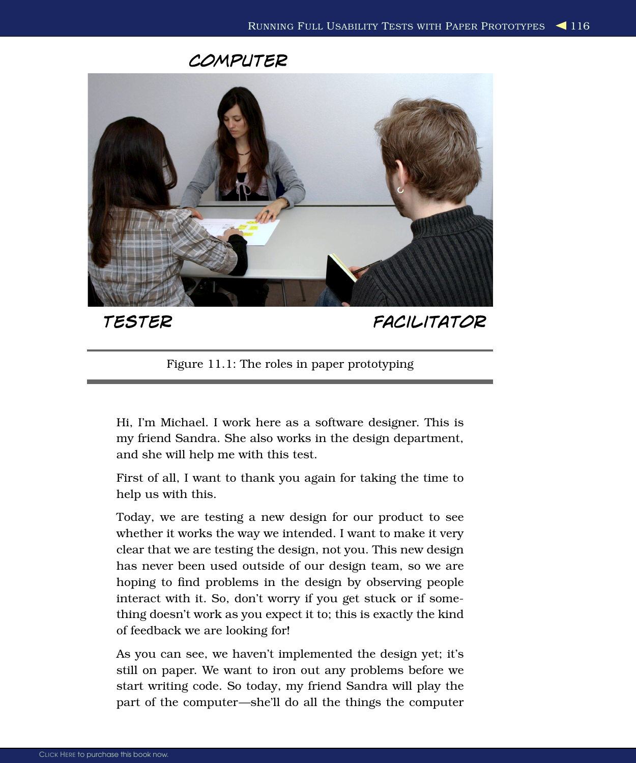#### COMPUTER



**TESTER** 

**FACILITATOR** 

Figure 11.1: The roles in paper prototyping

Hi, I'm Michael. I work here as a software designer. This is my friend Sandra. She also works in the design department, and she will help me with this test.

First of all, I want to thank you again for taking the time to help us with this.

Today, we are testing a new design for our product to see whether it works the way we intended. I want to make it very clear that we are testing the design, not you. This new design has never been used outside of our design team, so we are hoping to find problems in the design by observing people interact with it. So, don't worry if you get stuck or if something doesn't work as you expect it to; this is exactly the kind of feedback we are looking for!

As you can see, we haven't implemented the design yet; it's still on paper. We want to iron out any problems before we start writing code. So today, my friend Sandra will play the part of the computer—she'll do all the things the computer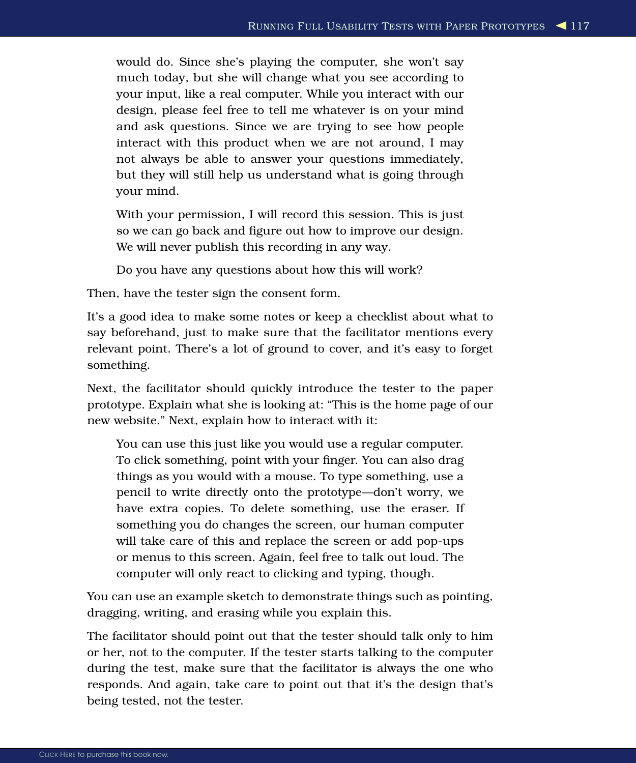would do. Since she's playing the computer, she won't say much today, but she will change what you see according to your input, like a real computer. While you interact with our design, please feel free to tell me whatever is on your mind and ask questions. Since we are trying to see how people interact with this product when we are not around, I may not always be able to answer your questions immediately, but they will still help us understand what is going through your mind.

With your permission, I will record this session. This is just so we can go back and figure out how to improve our design. We will never publish this recording in any way.

Do you have any questions about how this will work?

Then, have the tester sign the consent form.

It's a good idea to make some notes or keep a checklist about what to say beforehand, just to make sure that the facilitator mentions every relevant point. There's a lot of ground to cover, and it's easy to forget something.

Next, the facilitator should quickly introduce the tester to the paper prototype. Explain what she is looking at: "This is the home page of our new website." Next, explain how to interact with it:

You can use this just like you would use a regular computer. To click something, point with your finger. You can also drag things as you would with a mouse. To type something, use a pencil to write directly onto the prototype—don't worry, we have extra copies. To delete something, use the eraser. If something you do changes the screen, our human computer will take care of this and replace the screen or add pop-ups or menus to this screen. Again, feel free to talk out loud. The computer will only react to clicking and typing, though.

You can use an example sketch to demonstrate things such as pointing, dragging, writing, and erasing while you explain this.

The facilitator should point out that the tester should talk only to him or her, not to the computer. If the tester starts talking to the computer during the test, make sure that the facilitator is always the one who responds. And again, take care to point out that it's the design that's being tested, not the tester.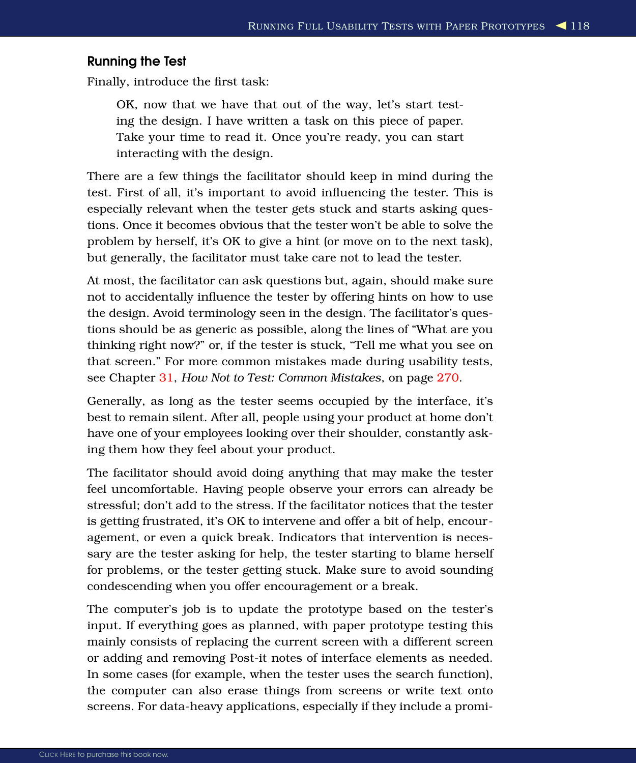#### Running the Test

Finally, introduce the first task:

OK, now that we have that out of the way, let's start testing the design. I have written a task on this piece of paper. Take your time to read it. Once you're ready, you can start interacting with the design.

There are a few things the facilitator should keep in mind during the test. First of all, it's important to avoid influencing the tester. This is especially relevant when the tester gets stuck and starts asking questions. Once it becomes obvious that the tester won't be able to solve the problem by herself, it's OK to give a hint (or move on to the next task), but generally, the facilitator must take care not to lead the tester.

At most, the facilitator can ask questions but, again, should make sure not to accidentally influence the tester by offering hints on how to use the design. Avoid terminology seen in the design. The facilitator's questions should be as generic as possible, along the lines of "What are you thinking right now?" or, if the tester is stuck, "Tell me what you see on that screen." For more common mistakes made during usability tests, see Chapter 31, *How Not to Test: Common Mistakes*, on page 270.

Generally, as long as the tester seems occupied by the interface, it's best to remain silent. After all, people using your product at home don't have one of your employees looking over their shoulder, constantly asking them how they feel about your product.

The facilitator should avoid doing anything that may make the tester feel uncomfortable. Having people observe your errors can already be stressful; don't add to the stress. If the facilitator notices that the tester is getting frustrated, it's OK to intervene and offer a bit of help, encouragement, or even a quick break. Indicators that intervention is necessary are the tester asking for help, the tester starting to blame herself for problems, or the tester getting stuck. Make sure to avoid sounding condescending when you offer encouragement or a break.

The computer's job is to update the prototype based on the tester's input. If everything goes as planned, with paper prototype testing this mainly consists of replacing the current screen with a different screen or adding and removing Post-it notes of interface elements as needed. In some cases (for example, when the tester uses the search function), the computer can also erase things from screens or write text onto screens. For data-heavy applications, especially if they include a promi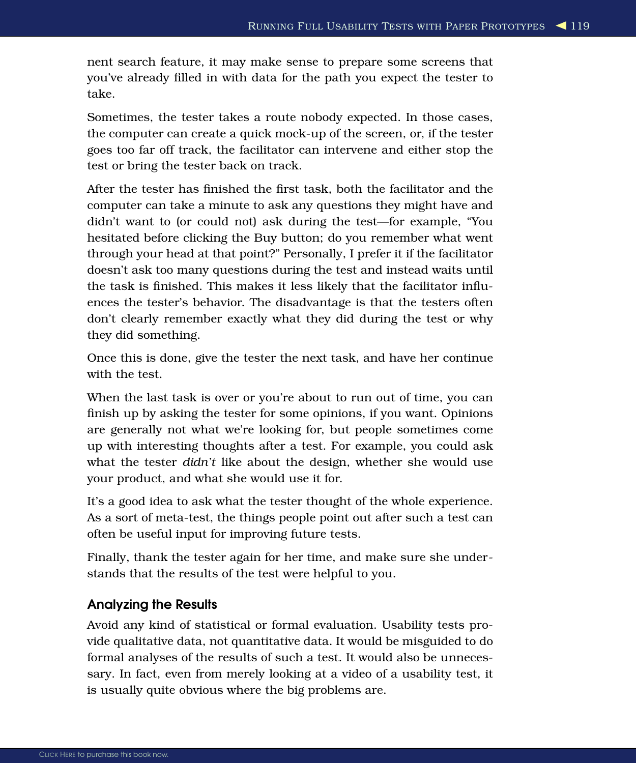nent search feature, it may make sense to prepare some screens that you've already filled in with data for the path you expect the tester to take.

Sometimes, the tester takes a route nobody expected. In those cases, the computer can create a quick mock-up of the screen, or, if the tester goes too far off track, the facilitator can intervene and either stop the test or bring the tester back on track.

After the tester has finished the first task, both the facilitator and the computer can take a minute to ask any questions they might have and didn't want to (or could not) ask during the test—for example, "You hesitated before clicking the Buy button; do you remember what went through your head at that point?" Personally, I prefer it if the facilitator doesn't ask too many questions during the test and instead waits until the task is finished. This makes it less likely that the facilitator influences the tester's behavior. The disadvantage is that the testers often don't clearly remember exactly what they did during the test or why they did something.

Once this is done, give the tester the next task, and have her continue with the test.

When the last task is over or you're about to run out of time, you can finish up by asking the tester for some opinions, if you want. Opinions are generally not what we're looking for, but people sometimes come up with interesting thoughts after a test. For example, you could ask what the tester *didn't* like about the design, whether she would use your product, and what she would use it for.

It's a good idea to ask what the tester thought of the whole experience. As a sort of meta-test, the things people point out after such a test can often be useful input for improving future tests.

Finally, thank the tester again for her time, and make sure she understands that the results of the test were helpful to you.

#### Analyzing the Results

Avoid any kind of statistical or formal evaluation. Usability tests provide qualitative data, not quantitative data. It would be misguided to do formal analyses of the results of such a test. It would also be unnecessary. In fact, even from merely looking at a video of a usability test, it is usually quite obvious where the big problems are.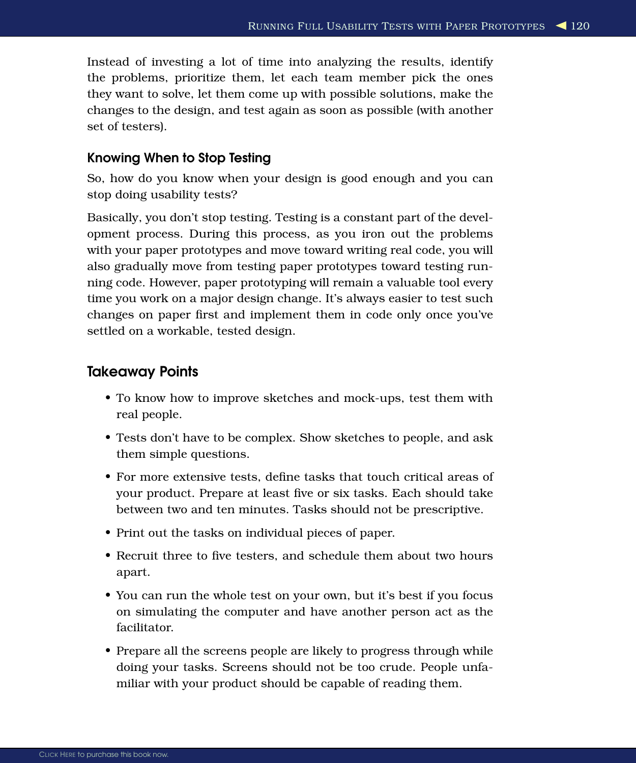Instead of investing a lot of time into analyzing the results, identify the problems, prioritize them, let each team member pick the ones they want to solve, let them come up with possible solutions, make the changes to the design, and test again as soon as possible (with another set of testers).

#### Knowing When to Stop Testing

So, how do you know when your design is good enough and you can stop doing usability tests?

Basically, you don't stop testing. Testing is a constant part of the development process. During this process, as you iron out the problems with your paper prototypes and move toward writing real code, you will also gradually move from testing paper prototypes toward testing running code. However, paper prototyping will remain a valuable tool every time you work on a major design change. It's always easier to test such changes on paper first and implement them in code only once you've settled on a workable, tested design.

#### Takeaway Points

- To know how to improve sketches and mock-ups, test them with real people.
- Tests don't have to be complex. Show sketches to people, and ask them simple questions.
- For more extensive tests, define tasks that touch critical areas of your product. Prepare at least five or six tasks. Each should take between two and ten minutes. Tasks should not be prescriptive.
- Print out the tasks on individual pieces of paper.
- Recruit three to five testers, and schedule them about two hours apart.
- You can run the whole test on your own, but it's best if you focus on simulating the computer and have another person act as the facilitator.
- Prepare all the screens people are likely to progress through while doing your tasks. Screens should not be too crude. People unfamiliar with your product should be capable of reading them.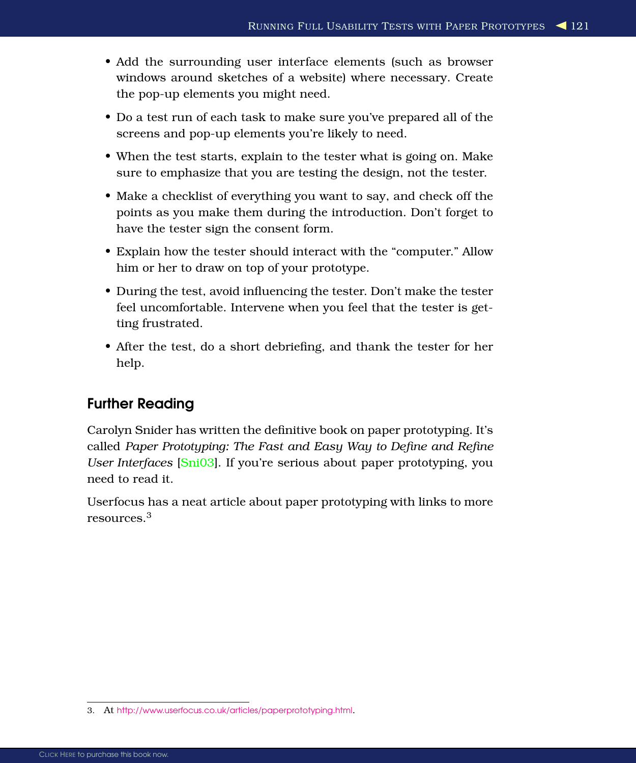- Add the surrounding user interface elements (such as browser windows around sketches of a website) where necessary. Create the pop-up elements you might need.
- Do a test run of each task to make sure you've prepared all of the screens and pop-up elements you're likely to need.
- When the test starts, explain to the tester what is going on. Make sure to emphasize that you are testing the design, not the tester.
- Make a checklist of everything you want to say, and check off the points as you make them during the introduction. Don't forget to have the tester sign the consent form.
- Explain how the tester should interact with the "computer." Allow him or her to draw on top of your prototype.
- During the test, avoid influencing the tester. Don't make the tester feel uncomfortable. Intervene when you feel that the tester is getting frustrated.
- After the test, do a short debriefing, and thank the tester for her help.

#### Further Reading

Carolyn Snider has written the definitive book on paper prototyping. It's called *Paper Prototyping: The Fast and Easy Way to Define and Refine User Interfaces* [Sni03]. If you're serious about paper prototyping, you need to read it.

Userfocus has a neat article about paper prototyping with links to more resources<sup>3</sup>

<sup>3.</sup> At <http://www.userfocus.co.uk/articles/paperprototyping.html>.